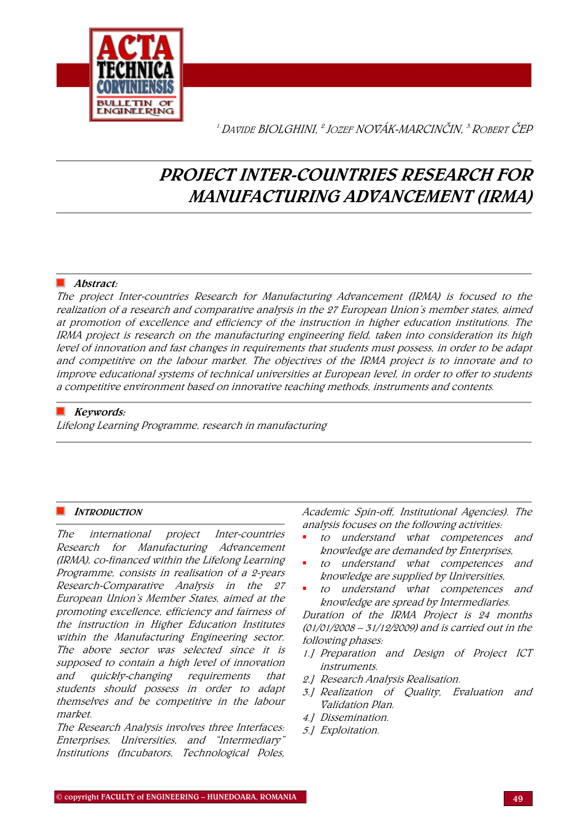

<sup>1.</sup>Davide BIOLGHINI, <sup>2.</sup>JOZEF NOVÁK-MARCINČIN. <sup>3.</sup>ROBERT ČEP

# PROJECT INTER-COUNTRIES RESEARCH FOR MANUFACTURING ADVANCEMENT (IRMA)

# ■ Abstract:

The project Inter-countries Research for Manufacturing Advancement (IRMA) is focused to the realization of a research and comparative analysis in the 27 European Union's member states, aimed at promotion of excellence and efficiency of the instruction in higher education institutions. The IRMA project is research on the manufacturing engineering field, taken into consideration its high level of innovation and fast changes in requirements that students must possess, in order to be adapt and competitive on the labour market. The objectives of the IRMA project is to innovate and to improve educational systems of technical universities at European level, in order to offer to students a competitive environment based on innovative teaching methods, instruments and contents.

# $\blacksquare$  Keywords:

Lifelong Learning Programme, research in manufacturing

## **INTRODUCTION**

The international project Inter-countries Research for Manufacturing Advancement (IRMA), co-financed within the Lifelong Learning Programme, consists in realisation of a 2-years Research-Comparative Analysis in the 27 European Union's Member States, aimed at the promoting excellence, efficiency and fairness of the instruction in Higher Education Institutes within the Manufacturing Engineering sector. The above sector was selected since it is supposed to contain a high level of innovation and quickly-changing requirements that students should possess in order to adapt themselves and be competitive in the labour market.

The Research Analysis involves three Interfaces: Enterprises, Universities, and "Intermediary" Institutions (Incubators, Technological Poles,

Academic Spin-off, Institutional Agencies). The analysis focuses on the following activities:

- to understand what competences and knowledge are demanded by Enterprises,
- to understand what competences and knowledge are supplied by Universities,
- to understand what competences and knowledge are spread by Intermediaries.

Duration of the IRMA Project is 24 months (01/01/2008 – 31/12/2009) and is carried out in the following phases:

- 1.] Preparation and Design of Project ICT instruments.
- 2.] Research Analysis Realisation.
- 3.] Realization of Quality, Evaluation and Validation Plan.
- 4.] Dissemination.
- 5.] Exploitation.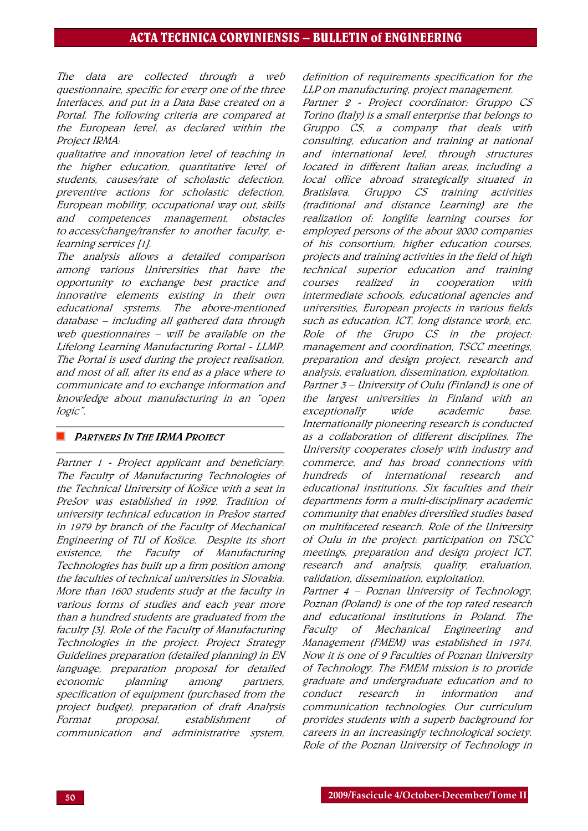The data are collected through a web questionnaire, specific for every one of the three Interfaces, and put in a Data Base created on a Portal. The following criteria are compared at the European level, as declared within the Project IRMA:

qualitative and innovation level of teaching in the higher education, quantitative level of students, causes/rate of scholastic defection, preventive actions for scholastic defection, European mobility, occupational way out, skills and competences management, obstacles to access/change/transfer to another faculty, elearning services [1].

The analysis allows a detailed comparison among various Universities that have the opportunity to exchange best practice and innovative elements existing in their own educational systems. The above-mentioned database – including all gathered data through web questionnaires – will be available on the Lifelong Learning Manufacturing Portal - LLMP. The Portal is used during the project realisation, and most of all, after its end as a place where to communicate and to exchange information and knowledge about manufacturing in an "open logic".

### **PARTNERS IN THE IRMA PROJECT**

Partner 1 - Project applicant and beneficiary: The Faculty of Manufacturing Technologies of the Technical University of Košice with a seat in Prešov was established in 1992. Tradition of university technical education in Prešov started in 1979 by branch of the Faculty of Mechanical Engineering of TU of Košice. Despite its short existence, the Faculty of Manufacturing Technologies has built up a firm position among the faculties of technical universities in Slovakia. More than 1600 students study at the faculty in various forms of studies and each year more than a hundred students are graduated from the faculty [3]. Role of the Faculty of Manufacturing Technologies in the project: Project Strategy Guidelines preparation (detailed planning) in EN language, preparation proposal for detailed economic planning among partners, specification of equipment (purchased from the project budget), preparation of draft Analysis Format proposal, establishment of communication and administrative system,

definition of requirements specification for the LLP on manufacturing, project management.

Partner 2 - Project coordinator: Gruppo CS Torino (Italy) is a small enterprise that belongs to Gruppo CS, a company that deals with consulting, education and training at national and international level, through structures located in different Italian areas, including a local office abroad strategically situated in Bratislava. Gruppo CS training activities (traditional and distance Learning) are the realization of: longlife learning courses for employed persons of the about 2000 companies of his consortium; higher education courses, projects and training activities in the field of high technical superior education and training courses realized in cooperation with intermediate schools, educational agencies and universities, European projects in various fields such as education, ICT, long distance work, etc. Role of the Grupo CS in the project: management and coordination, TSCC meetings, preparation and design project, research and analysis, evaluation, dissemination, exploitation. Partner 3 – University of Oulu (Finland) is one of the largest universities in Finland with an exceptionally wide academic base. Internationally pioneering research is conducted as a collaboration of different disciplines. The University cooperates closely with industry and commerce, and has broad connections with hundreds of international research and educational institutions. Six faculties and their departments form a multi-disciplinary academic community that enables diversified studies based on multifaceted research. Role of the University of Oulu in the project: participation on TSCC meetings, preparation and design project ICT, research and analysis, quality, evaluation, validation, dissemination, exploitation.

Partner 4 – Poznan University of Technology, Poznan (Poland) is one of the top rated research and educational institutions in Poland. The Faculty of Mechanical Engineering and Management (FMEM) was established in 1974. Now it is one of 9 Faculties of Poznan University of Technology. The FMEM mission is to provide graduate and undergraduate education and to conduct research in information and communication technologies. Our curriculum provides students with a superb background for careers in an increasingly technological society. Role of the Poznan University of Technology in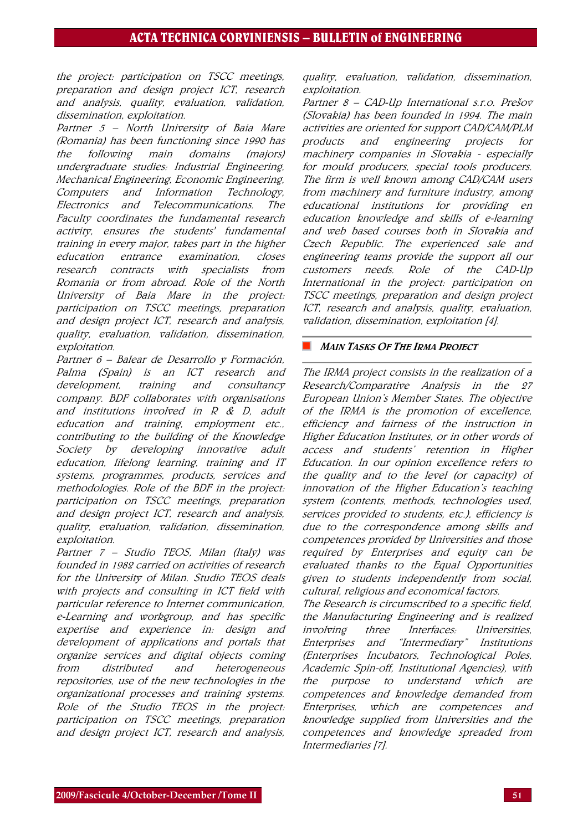the project: participation on TSCC meetings, preparation and design project ICT, research and analysis, quality, evaluation, validation, dissemination, exploitation.

Partner 5 – North University of Baia Mare (Romania) has been functioning since 1990 has the following main domains (majors) undergraduate studies: Industrial Engineering, Mechanical Engineering, Economic Engineering, Computers and Information Technology, Electronics and Telecommunications. The Faculty coordinates the fundamental research activity, ensures the students' fundamental training in every major, takes part in the higher education entrance examination, closes research contracts with specialists from Romania or from abroad. Role of the North University of Baia Mare in the project: participation on TSCC meetings, preparation and design project ICT, research and analysis, quality, evaluation, validation, dissemination, exploitation.

Partner 6 – [Balear de Desarrollo y Formación](http://www.bdf.es/), Palma (Spain) is an ICT research and development, training and consultancy company. BDF collaborates with organisations and institutions involved in R & D, adult education and training, employment etc., contributing to the building of the Knowledge Society by developing innovative adult education, lifelong learning, training and IT systems, programmes, products, services and methodologies. Role of the [BDF](http://www.bdf.es/) in the project: participation on TSCC meetings, preparation and design project ICT, research and analysis, quality, evaluation, validation, dissemination, exploitation.

Partner 7 – Studio TEOS, Milan (Italy) was founded in 1982 carried on activities of research for the University of Milan. Studio TEOS deals with projects and consulting in ICT field with particular reference to Internet communication, e-Learning and workgroup, and has specific expertise and experience in: design and development of applications and portals that organize services and digital objects coming from distributed and heterogeneous repositories, use of the new technologies in the organizational processes and training systems. Role of the Studio TEOS in the project: participation on TSCC meetings, preparation and design project ICT, research and analysis,

quality, evaluation, validation, dissemination, exploitation.

Partner 8 – CAD-Up International s.r.o. Prešov (Slovakia) has been founded in 1994. The main activities are oriented for support CAD/CAM/PLM products and engineering projects for machinery companies in Slovakia - especially for mould producers, special tools producers. The firm is well known among CAD/CAM users from machinery and furniture industry, among educational institutions for providing en education knowledge and skills of e-learning and web based courses both in Slovakia and Czech Republic. The experienced sale and engineering teams provide the support all our customers needs. Role of the CAD-Up International in the project: participation on TSCC meetings, preparation and design project ICT, research and analysis, quality, evaluation, validation, dissemination, exploitation [4].

## **MAIN TASKS OF THE IRMA PROJECT**

The IRMA project consists in the realization of a Research/Comparative Analysis in the 27 European Union's Member States. The objective of the IRMA is the promotion of excellence, efficiency and fairness of the instruction in Higher Education Institutes, or in other words of access and students' retention in Higher Education. In our opinion excellence refers to the quality and to the level (or capacity) of innovation of the Higher Education's teaching system (contents, methods, technologies used, services provided to students, etc.), efficiency is due to the correspondence among skills and competences provided by Universities and those required by Enterprises and equity can be evaluated thanks to the Equal Opportunities given to students independently from social, cultural, religious and economical factors.

The Research is circumscribed to a specific field, the Manufacturing Engineering and is realized involving three Interfaces: Universities, Enterprises and "Intermediary" Institutions (Enterprises Incubators, Technological Poles, Academic Spin-off, Institutional Agencies), with the purpose to understand which are competences and knowledge demanded from Enterprises, which are competences and knowledge supplied from Universities and the competences and knowledge spreaded from Intermediaries [7].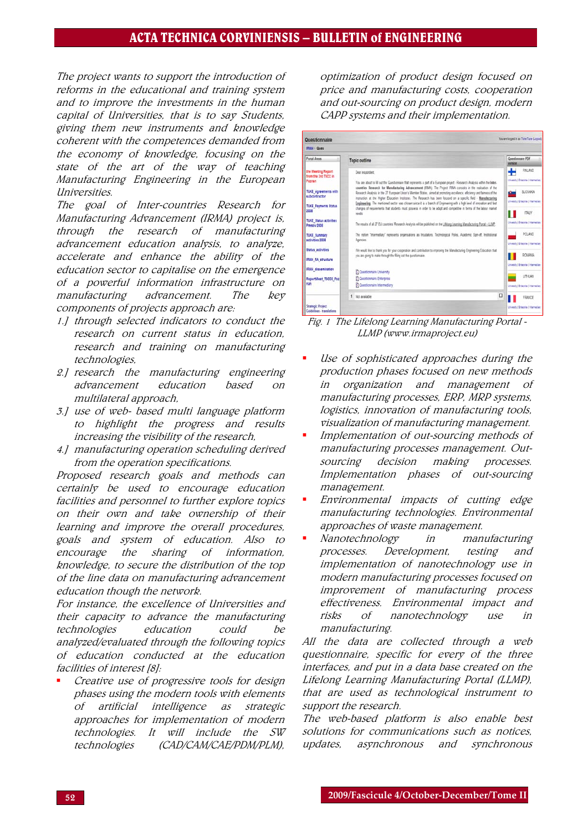# ACTA TECHNICA CORVINIENSIS – BULLETIN of ENGINEERING

The project wants to support the introduction of reforms in the educational and training system and to improve the investments in the human capital of Universities, that is to say Students, giving them new instruments and knowledge coherent with the competences demanded from the economy of knowledge, focusing on the state of the art of the way of teaching Manufacturing Engineering in the European Universities.

The goal of Inter-countries Research for Manufacturing Advancement (IRMA) project is, through the research of manufacturing advancement education analysis, to analyze, accelerate and enhance the ability of the education sector to capitalise on the emergence of a powerful information infrastructure on manufacturing advancement. The key components of projects approach are:

- 1.] through selected indicators to conduct the research on current status in education, research and training on manufacturing technologies,
- 2.] research the manufacturing engineering advancement education based on multilateral approach,
- 3.] use of web- based multi language platform to highlight the progress and results increasing the visibility of the research,
- 4.] manufacturing operation scheduling derived from the operation specifications.

Proposed research goals and methods can certainly be used to encourage education facilities and personnel to further explore topics on their own and take ownership of their learning and improve the overall procedures, goals and system of education. Also to encourage the sharing of information, knowledge, to secure the distribution of the top of the line data on manufacturing advancement education though the network.

For instance, the excellence of Universities and their capacity to advance the manufacturing technologies education could be analyzed/evaluated through the following topics of education conducted at the education facilities of interest [8]:

 Creative use of progressive tools for design phases using the modern tools with elements of artificial intelligence as strategic approaches for implementation of modern technologies. It will include the SW technologies (CAD/CAM/CAE/PDM/PLM),

optimization of product design focused on price and manufacturing costs, cooperation and out-sourcing on product design, modern CAPP systems and their implementation.

| You are logged in as Tuke Tuke (Logout)<br>Questionnaire<br><b>IRMA: Ques</b>                                                                                                                                                                                                                 |                                                                                                                                                                                                                                                                                                                                                                                                                                                                                                                                                                                                                                                                                                                                                                                                                                                                                                                                                                                                                                                                                                                                                                                                                                                              |                                                                                                                                                                                                                                                      |
|-----------------------------------------------------------------------------------------------------------------------------------------------------------------------------------------------------------------------------------------------------------------------------------------------|--------------------------------------------------------------------------------------------------------------------------------------------------------------------------------------------------------------------------------------------------------------------------------------------------------------------------------------------------------------------------------------------------------------------------------------------------------------------------------------------------------------------------------------------------------------------------------------------------------------------------------------------------------------------------------------------------------------------------------------------------------------------------------------------------------------------------------------------------------------------------------------------------------------------------------------------------------------------------------------------------------------------------------------------------------------------------------------------------------------------------------------------------------------------------------------------------------------------------------------------------------------|------------------------------------------------------------------------------------------------------------------------------------------------------------------------------------------------------------------------------------------------------|
|                                                                                                                                                                                                                                                                                               |                                                                                                                                                                                                                                                                                                                                                                                                                                                                                                                                                                                                                                                                                                                                                                                                                                                                                                                                                                                                                                                                                                                                                                                                                                                              |                                                                                                                                                                                                                                                      |
| the Meeting Report<br>from the 3rd TSCC in<br>Poznan<br><b>TUKE Agreements with</b><br>subcontractor<br><b>TUKE Payments Status</b><br>2003<br><b>TUKE Status activities</b><br>Pressy 2008<br><b>TUKE Summary</b><br>activities 2008<br><b>Status activities</b><br><b>IRMA RA structure</b> | Dear respondent.<br>You are about to fill out the Questionnaire that represents a part of a European project - Research Analysis within the Inter-<br>countries Research for Manufacturing Advancement (FOIA). The Project FOIA consists in the realisation of the<br>Research Analysis in the 27 European Union's Member States, aimed at promoting excellence, eficiency and fairness of the<br>instruction at the Higher Education Institutes. The Research has been focused on a specific field - Manufacturing<br>Engineering. The mentioned sector was chosen since it is a branch of Engineering with a high level of imovation and fast<br>changes of requirements that students must possess in order to be adapt and competitive in terms of the labour market<br>naads<br>The results of all 27 EU countries' Research Analysis will be published on the Lifelong Learning Manufacturing Portal - LLMP.<br>The notion "Intermediary" represents organisations as Incubators. Technological Poles, Academic Spin-off, Institutional<br>Agencies.<br>We would like to thank you for your cooperation and contribution to improving the Manufacturing Engineering Education that<br>you are going to make through the filling out the questionnaire. | FILLAND<br><b>University   Emergence   Imagines Euro</b><br>SLOVAKIA<br><b>University I Enterprise I Intermediate</b><br><b>ITALY</b><br>University   Emergrise   Intermediate<br>POLAND<br>University   Enterprise   Internation)<br><b>ASMANDS</b> |
| <b>IRMA dissemination</b>                                                                                                                                                                                                                                                                     | El Questionnaire University                                                                                                                                                                                                                                                                                                                                                                                                                                                                                                                                                                                                                                                                                                                                                                                                                                                                                                                                                                                                                                                                                                                                                                                                                                  | <b>University   Enterprise   Intermediate</b><br>LITHLIAN                                                                                                                                                                                            |
| ReportMeet T5CC3 Poz<br>nan                                                                                                                                                                                                                                                                   | El Questionnaire Enterprise<br><b>B1</b> Questionnaire Intermediary                                                                                                                                                                                                                                                                                                                                                                                                                                                                                                                                                                                                                                                                                                                                                                                                                                                                                                                                                                                                                                                                                                                                                                                          | <b>Drivesh (Enterprise (Internation)</b>                                                                                                                                                                                                             |
|                                                                                                                                                                                                                                                                                               | α<br>1 Not available                                                                                                                                                                                                                                                                                                                                                                                                                                                                                                                                                                                                                                                                                                                                                                                                                                                                                                                                                                                                                                                                                                                                                                                                                                         | <b>FRANCE</b>                                                                                                                                                                                                                                        |
| Strategic Project<br><b>Guidelines - translations</b>                                                                                                                                                                                                                                         |                                                                                                                                                                                                                                                                                                                                                                                                                                                                                                                                                                                                                                                                                                                                                                                                                                                                                                                                                                                                                                                                                                                                                                                                                                                              | <b>University   Enterprise   Internationy</b>                                                                                                                                                                                                        |

Fig. 1 The Lifelong Learning Manufacturing Portal - LLMP (www.irmaproject.eu)

- Use of sophisticated approaches during the production phases focused on new methods in organization and management of manufacturing processes, ERP, MRP systems, logistics, innovation of manufacturing tools, visualization of manufacturing management.
- Implementation of out-sourcing methods of manufacturing processes management. Outsourcing decision making processes. Implementation phases of out-sourcing management.
- Environmental impacts of cutting edge manufacturing technologies. Environmental approaches of waste management.
- Nanotechnology in manufacturing processes. Development, testing and implementation of nanotechnology use in modern manufacturing processes focused on improvement of manufacturing process effectiveness. Environmental impact and risks of nanotechnology use in manufacturing.

All the data are collected through a web questionnaire, specific for every of the three interfaces, and put in a data base created on the Lifelong Learning Manufacturing Portal (LLMP), that are used as technological instrument to support the research.

The web-based platform is also enable best solutions for communications such as notices, updates, asynchronous and synchronous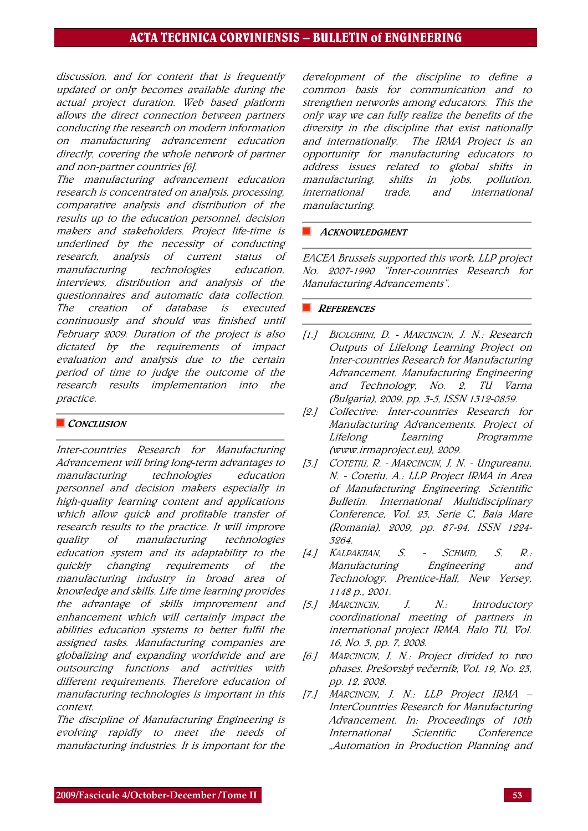# ACTA TECHNICA CORVINIENSIS – BULLETIN of ENGINEERING

discussion, and for content that is frequently updated or only becomes available during the actual project duration. Web based platform allows the direct connection between partners conducting the research on modern information on manufacturing advancement education directly, covering the whole network of partner and non-partner countries [6].

The manufacturing advancement education research is concentrated on analysis, processing, comparative analysis and distribution of the results up to the education personnel, decision makers and stakeholders. Project life-time is underlined by the necessity of conducting research, analysis of current status of manufacturing technologies education, interviews, distribution and analysis of the questionnaires and automatic data collection. The creation of database is executed continuously and should was finished until February 2009. Duration of the project is also dictated by the requirements of impact evaluation and analysis due to the certain period of time to judge the outcome of the research results implementation into the practice.

#### CONCLUSION

Inter-countries Research for Manufacturing Advancement will bring long-term advantages to manufacturing technologies education personnel and decision makers especially in high-quality learning content and applications which allow quick and profitable transfer of research results to the practice. It will improve quality of manufacturing technologies education system and its adaptability to the quickly changing requirements of the manufacturing industry in broad area of knowledge and skills. Life time learning provides the advantage of skills improvement and enhancement which will certainly impact the abilities education systems to better fulfil the assigned tasks. Manufacturing companies are globalizing and expanding worldwide and are outsourcing functions and activities with different requirements. Therefore education of manufacturing technologies is important in this context.

The discipline of Manufacturing Engineering is evolving rapidly to meet the needs of manufacturing industries. It is important for the

development of the discipline to define a common basis for communication and to strengthen networks among educators. This the only way we can fully realize the benefits of the diversity in the discipline that exist nationally and internationally. The IRMA Project is an opportunity for manufacturing educators to address issues related to global shifts in manufacturing, shifts in jobs, pollution, international trade, and international manufacturing.

#### **ACKNOWLEDGMENT**

EACEA Brussels supported this work, LLP project No. 2007-1990 "Inter-countries Research for Manufacturing Advancements".

### **REFERENCES**

- [1.] BIOLGHINI, D. MARCINCIN, J. N.: Research Outputs of Lifelong Learning Project on Inter-countries Research for Manufacturing Advancement. Manufacturing Engineering and Technology, No. 2, TU Varna (Bulgaria), 2009, pp. 3-5, ISSN 1312-0859.
- [2.] Collective: Inter-countries Research for Manufacturing Advancements. Project of Lifelong Learning Programme (www.irmaproject.eu), 2009.
- [3.] COTETIU, R. MARCINCIN, J. N. Ungureanu, N. - Cotetiu, A.: LLP Project IRMA in Area of Manufacturing Engineering. Scientific Bulletin. International Multidisciplinary Conference, Vol. 23, Serie C, Baia Mare (Romania), 2009, pp. 87-94, ISSN 1224- 3264.
- [4.] KALPAKJIAN, S. SCHMID, S. R.: Manufacturing Engineering and Technology. Prentice-Hall, New Yersey, 1148 p., 2001.
- [5.] MARCINCIN, J. N.: Introductory coordinational meeting of partners in international project IRMA. Halo TU, Vol. 16, No. 3, pp. 7, 2008.
- [6.] MARCINCIN, J. N.: Project divided to two phases. Prešovský večerník, Vol. 19, No. 23, pp. 12, 2008.
- [7.] MARCINCIN, J. N.: LLP Project IRMA InterCountries Research for Manufacturing Advancement. In: Proceedings of 10th International Scientific Conference "Automation in Production Planning and